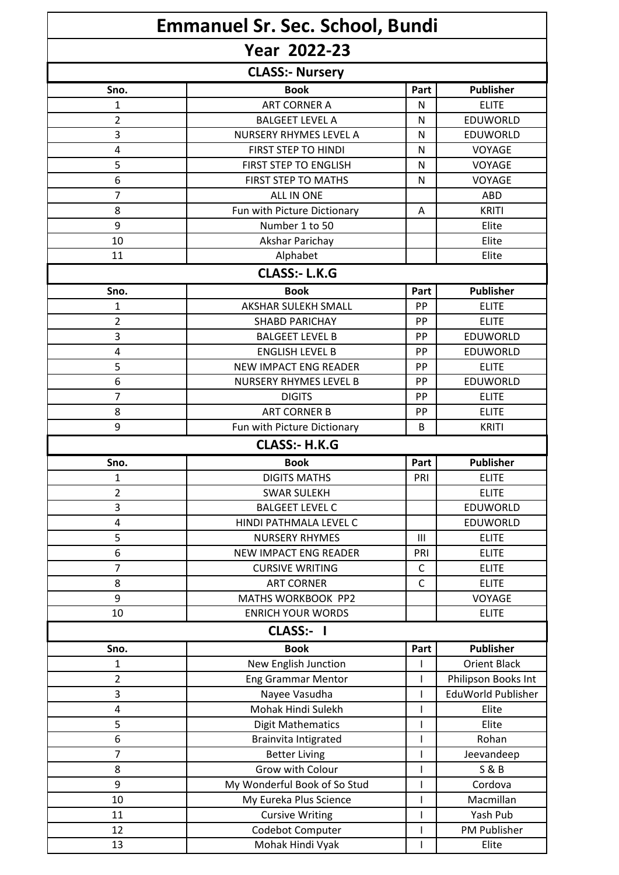| <b>Emmanuel Sr. Sec. School, Bundi</b> |                                          |              |                     |
|----------------------------------------|------------------------------------------|--------------|---------------------|
|                                        | <b>Year 2022-23</b>                      |              |                     |
|                                        | <b>CLASS:- Nursery</b>                   |              |                     |
| Sno.                                   | <b>Book</b>                              | Part         | <b>Publisher</b>    |
| 1                                      | <b>ART CORNER A</b>                      | N            | <b>ELITE</b>        |
| $\overline{2}$                         | <b>BALGEET LEVEL A</b>                   | N            | EDUWORLD            |
| 3                                      | NURSERY RHYMES LEVEL A                   | N            | EDUWORLD            |
| 4                                      | FIRST STEP TO HINDI                      | N            | VOYAGE              |
| 5                                      | FIRST STEP TO ENGLISH                    | N            | <b>VOYAGE</b>       |
| 6                                      | FIRST STEP TO MATHS                      | N            | VOYAGE              |
| $\overline{7}$                         | <b>ALL IN ONE</b>                        |              | <b>ABD</b>          |
| 8                                      | Fun with Picture Dictionary              | A            | <b>KRITI</b>        |
| 9                                      | Number 1 to 50                           |              | Elite               |
| 10                                     | Akshar Parichay                          |              | Elite               |
| 11                                     | Alphabet                                 |              | Elite               |
|                                        | <b>CLASS:- L.K.G</b>                     |              |                     |
| Sno.                                   | <b>Book</b>                              | Part         | <b>Publisher</b>    |
| 1                                      | AKSHAR SULEKH SMALL                      | PP           | <b>ELITE</b>        |
| $\overline{2}$                         | <b>SHABD PARICHAY</b>                    | PP           | <b>ELITE</b>        |
| 3                                      | <b>BALGEET LEVEL B</b>                   | PP           | EDUWORLD            |
| 4                                      | <b>ENGLISH LEVEL B</b>                   | PP           | EDUWORLD            |
| 5                                      | <b>NEW IMPACT ENG READER</b>             | PP           | <b>ELITE</b>        |
| 6                                      | <b>NURSERY RHYMES LEVEL B</b>            | PP           | EDUWORLD            |
| $\overline{7}$                         | <b>DIGITS</b>                            | PP           | <b>ELITE</b>        |
| 8                                      | <b>ART CORNER B</b>                      | PP           | <b>ELITE</b>        |
| 9                                      | Fun with Picture Dictionary              | B            | <b>KRITI</b>        |
|                                        | <b>CLASS:- H.K.G</b>                     |              |                     |
| Sno.                                   | <b>Book</b>                              | Part         | <b>Publisher</b>    |
| 1                                      | <b>DIGITS MATHS</b>                      | PRI          | <b>ELITE</b>        |
| $\overline{2}$                         | <b>SWAR SULEKH</b>                       |              | <b>ELITE</b>        |
| 3                                      | <b>BALGEET LEVEL C</b>                   |              | EDUWORLD            |
| 4                                      | HINDI PATHMALA LEVEL C                   |              | EDUWORLD            |
| 5                                      | <b>NURSERY RHYMES</b>                    | III          | <b>ELITE</b>        |
| 6                                      | <b>NEW IMPACT ENG READER</b>             | PRI          | <b>ELITE</b>        |
| 7                                      | <b>CURSIVE WRITING</b>                   | $\mathsf C$  | <b>ELITE</b>        |
| 8                                      | <b>ART CORNER</b>                        | $\mathsf{C}$ | <b>ELITE</b>        |
| 9                                      | MATHS WORKBOOK PP2                       |              | VOYAGE              |
| 10                                     | <b>ENRICH YOUR WORDS</b>                 |              | <b>ELITE</b>        |
|                                        | CLASS:- I                                |              |                     |
| Sno.                                   | <b>Book</b>                              | Part         | <b>Publisher</b>    |
| $\mathbf{1}$                           | New English Junction                     |              | <b>Orient Black</b> |
| $\overline{2}$                         | <b>Eng Grammar Mentor</b>                |              | Philipson Books Int |
| 3                                      | Nayee Vasudha                            |              | EduWorld Publisher  |
| 4                                      | Mohak Hindi Sulekh                       |              | Elite               |
| 5                                      | <b>Digit Mathematics</b>                 |              | Elite               |
| 6                                      | Brainvita Intigrated                     |              | Rohan               |
| $\overline{7}$                         |                                          |              |                     |
|                                        |                                          |              | Jeevandeep          |
| 8                                      | <b>Better Living</b><br>Grow with Colour |              | <b>S&amp;B</b>      |
| 9                                      | My Wonderful Book of So Stud             |              | Cordova             |
| 10                                     | My Eureka Plus Science                   |              | Macmillan           |
| 11                                     | <b>Cursive Writing</b>                   |              | Yash Pub            |
| 12                                     | Codebot Computer                         | I            | <b>PM Publisher</b> |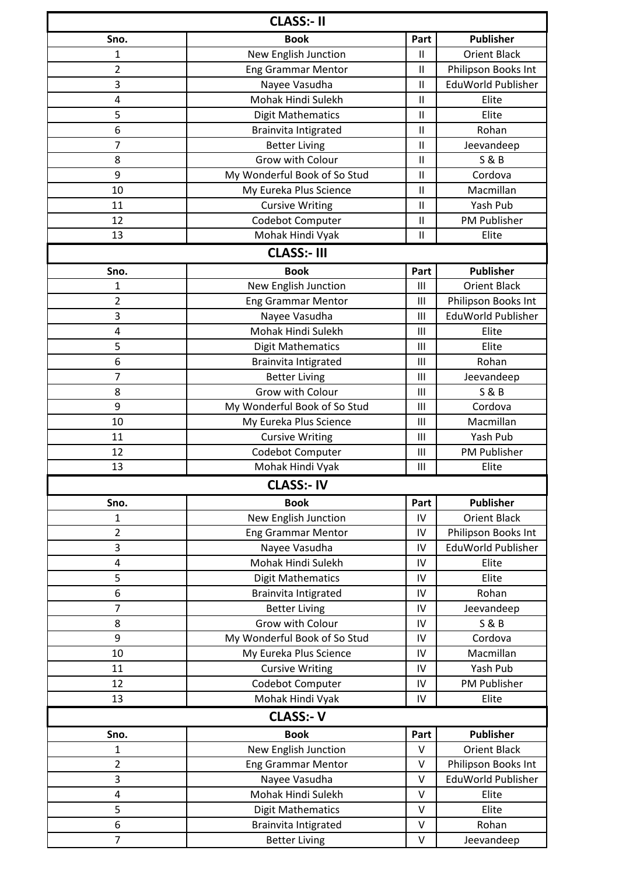| <b>CLASS:- II</b> |                              |              |                           |
|-------------------|------------------------------|--------------|---------------------------|
| Sno.              | <b>Book</b>                  | Part         | <b>Publisher</b>          |
| 1                 | New English Junction         | Ш            | <b>Orient Black</b>       |
| $\overline{2}$    | <b>Eng Grammar Mentor</b>    | Ш            | Philipson Books Int       |
| 3                 | Nayee Vasudha                | П            | <b>EduWorld Publisher</b> |
| 4                 | Mohak Hindi Sulekh           | Ш            | Elite                     |
| 5                 | <b>Digit Mathematics</b>     | $\mathbf{I}$ | Elite                     |
| 6                 | Brainvita Intigrated         | Ш            | Rohan                     |
| 7                 | <b>Better Living</b>         | $\mathbf{I}$ | Jeevandeep                |
| 8                 | Grow with Colour             | Ш            | <b>S &amp; B</b>          |
| 9                 | My Wonderful Book of So Stud | Ш            | Cordova                   |
| 10                | My Eureka Plus Science       | П            | Macmillan                 |
| 11                | <b>Cursive Writing</b>       | Ш            | Yash Pub                  |
| 12                | Codebot Computer             | П            | PM Publisher              |
| 13                | Mohak Hindi Vyak             | Ш            | Elite                     |
|                   | <b>CLASS:- III</b>           |              |                           |
| Sno.              | <b>Book</b>                  | Part         | <b>Publisher</b>          |
| 1                 | New English Junction         | Ш            | <b>Orient Black</b>       |
| $\overline{2}$    | <b>Eng Grammar Mentor</b>    | Ш            | Philipson Books Int       |
| 3                 | Nayee Vasudha                | Ш            | <b>EduWorld Publisher</b> |
| 4                 | Mohak Hindi Sulekh           | Ш            | Elite                     |
| 5                 | <b>Digit Mathematics</b>     | Ш            | Elite                     |
| 6                 | Brainvita Intigrated         | Ш            | Rohan                     |
| 7                 | <b>Better Living</b>         | Ш            | Jeevandeep                |
| 8                 | Grow with Colour             | Ш            | <b>S&amp;B</b>            |
| 9                 | My Wonderful Book of So Stud | Ш            | Cordova                   |
| 10                | My Eureka Plus Science       | Ш            | Macmillan                 |
| 11                | <b>Cursive Writing</b>       | Ш            | Yash Pub                  |
| 12                | Codebot Computer             | Ш            | PM Publisher              |
| 13                | Mohak Hindi Vyak             | Ш            | Elite                     |
|                   | <b>CLASS:- IV</b>            |              |                           |
| Sno.              | <b>Book</b>                  | Part         | <b>Publisher</b>          |
| 1                 | New English Junction         | IV           | <b>Orient Black</b>       |
| $\overline{2}$    | <b>Eng Grammar Mentor</b>    | IV           | Philipson Books Int       |
| 3                 | Nayee Vasudha                | ${\sf IV}$   | EduWorld Publisher        |
| 4                 | Mohak Hindi Sulekh           | IV           | Elite                     |
| 5                 | <b>Digit Mathematics</b>     | IV           | Elite                     |
| 6                 | Brainvita Intigrated         | IV           | Rohan                     |
| 7                 | <b>Better Living</b>         | IV           | Jeevandeep                |
| 8                 | Grow with Colour             | IV           | <b>S&amp;B</b>            |
| 9                 | My Wonderful Book of So Stud | IV           | Cordova                   |
| 10                | My Eureka Plus Science       | IV           | Macmillan                 |
| 11                | <b>Cursive Writing</b>       | IV           | Yash Pub                  |
| 12                | Codebot Computer             | IV           | PM Publisher              |
| 13                | Mohak Hindi Vyak             | IV           | Elite                     |
|                   | <b>CLASS:- V</b>             |              |                           |
| Sno.              | <b>Book</b>                  | Part         | <b>Publisher</b>          |
| 1                 | New English Junction         | $\vee$       | <b>Orient Black</b>       |
| $\overline{2}$    | <b>Eng Grammar Mentor</b>    | $\vee$       | Philipson Books Int       |
| 3                 | Nayee Vasudha                | v            | EduWorld Publisher        |
| 4                 | Mohak Hindi Sulekh           | $\vee$       | Elite                     |
| 5                 | <b>Digit Mathematics</b>     | $\vee$       | Elite                     |
| 6                 | Brainvita Intigrated         | $\vee$       | Rohan                     |
| $\overline{7}$    | <b>Better Living</b>         | V            | Jeevandeep                |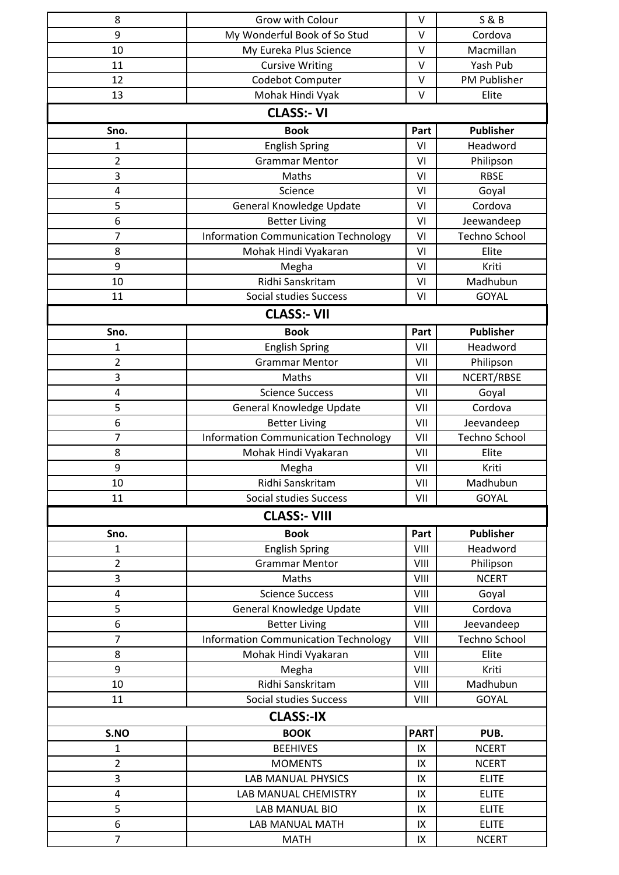| 8                   | Grow with Colour                                         | $\vee$      | <b>S&amp;B</b>               |
|---------------------|----------------------------------------------------------|-------------|------------------------------|
| 9                   | My Wonderful Book of So Stud                             | $\vee$      | Cordova                      |
| 10                  | My Eureka Plus Science                                   | V           | Macmillan                    |
| 11                  | <b>Cursive Writing</b>                                   | $\vee$      | Yash Pub                     |
| 12                  | Codebot Computer                                         | $\vee$      | <b>PM Publisher</b>          |
| 13                  | Mohak Hindi Vyak                                         | $\vee$      | Elite                        |
|                     | <b>CLASS:- VI</b>                                        |             |                              |
| Sno.                | <b>Book</b>                                              | Part        | <b>Publisher</b>             |
| 1                   | <b>English Spring</b>                                    | VI          | Headword                     |
| $\overline{2}$      | <b>Grammar Mentor</b>                                    | VI          | Philipson                    |
| 3                   | Maths                                                    | VI          | <b>RBSE</b>                  |
| 4                   | Science                                                  | VI          | Goyal                        |
| 5                   | General Knowledge Update                                 | VI          | Cordova                      |
| 6                   | <b>Better Living</b>                                     | VI          | Jeewandeep                   |
| 7                   | <b>Information Communication Technology</b>              | VI          | <b>Techno School</b>         |
| 8                   | Mohak Hindi Vyakaran                                     | VI          | Elite                        |
| 9                   | Megha                                                    | VI          | Kriti                        |
| 10                  | Ridhi Sanskritam                                         | VI          | Madhubun                     |
| 11                  | Social studies Success                                   | VI          | <b>GOYAL</b>                 |
|                     | <b>CLASS:- VII</b>                                       |             |                              |
|                     |                                                          |             |                              |
| Sno.                | <b>Book</b>                                              | Part        | <b>Publisher</b>             |
| 1                   | <b>English Spring</b>                                    | VII         | Headword                     |
| $\overline{2}$      | <b>Grammar Mentor</b>                                    | VII         | Philipson                    |
| 3                   | Maths                                                    | VII         | NCERT/RBSE                   |
| 4                   | <b>Science Success</b>                                   | VII         | Goyal                        |
| 5                   | General Knowledge Update                                 | VII         | Cordova                      |
| 6                   | <b>Better Living</b>                                     | VII         | Jeevandeep                   |
| 7                   | <b>Information Communication Technology</b>              | VII         | <b>Techno School</b>         |
| 8                   | Mohak Hindi Vyakaran                                     | VII         | Elite                        |
| 9                   | Megha                                                    | VII         | Kriti                        |
| 10                  | Ridhi Sanskritam                                         | VII         | Madhubun                     |
| 11                  | Social studies Success                                   | VII         | <b>GOYAL</b>                 |
|                     | <b>CLASS:- VIII</b>                                      |             |                              |
| Sno.                | <b>Book</b>                                              | Part        | <b>Publisher</b>             |
| 1                   | <b>English Spring</b>                                    | VIII        | Headword                     |
| $\overline{2}$      | <b>Grammar Mentor</b>                                    | VIII        | Philipson                    |
| 3                   | Maths                                                    | VIII        |                              |
|                     |                                                          |             | <b>NCERT</b>                 |
| 4                   | <b>Science Success</b>                                   | VIII        | Goyal                        |
| 5                   | General Knowledge Update                                 | VIII        | Cordova                      |
| 6                   | <b>Better Living</b>                                     | VIII        | Jeevandeep                   |
| $\overline{7}$      | <b>Information Communication Technology</b>              | VIII        | <b>Techno School</b>         |
| 8                   | Mohak Hindi Vyakaran                                     | VIII        | Elite                        |
| 9                   | Megha                                                    | VIII        | Kriti                        |
| 10                  | Ridhi Sanskritam                                         | VIII        | Madhubun                     |
| 11                  | Social studies Success                                   | VIII        | GOYAL                        |
|                     | <b>CLASS:-IX</b>                                         |             |                              |
| S.NO                | <b>BOOK</b>                                              | <b>PART</b> | PUB.                         |
| $\mathbf{1}$        | <b>BEEHIVES</b>                                          | IX          | <b>NCERT</b>                 |
|                     |                                                          |             |                              |
| $\overline{2}$      | <b>MOMENTS</b>                                           | IX<br>IX    | <b>NCERT</b>                 |
| 3<br>4              | <b>LAB MANUAL PHYSICS</b><br><b>LAB MANUAL CHEMISTRY</b> | IX          | <b>ELITE</b><br><b>ELITE</b> |
|                     |                                                          |             |                              |
| 5                   | <b>LAB MANUAL BIO</b>                                    | IX          | <b>ELITE</b>                 |
| 6<br>$\overline{7}$ | <b>LAB MANUAL MATH</b><br><b>MATH</b>                    | IX<br>IX    | <b>ELITE</b><br><b>NCERT</b> |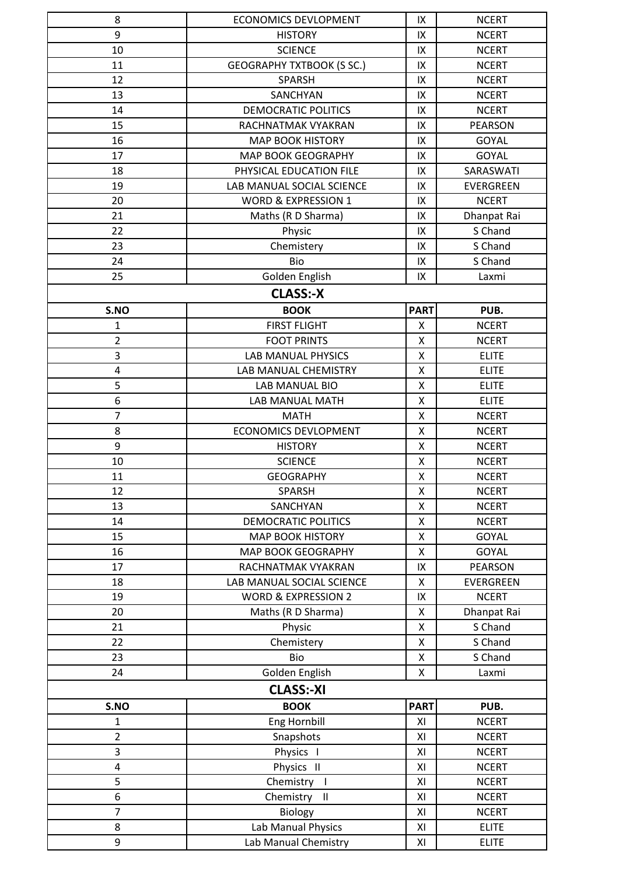| 8                       | <b>ECONOMICS DEVLOPMENT</b>      | IX          | <b>NCERT</b>   |  |
|-------------------------|----------------------------------|-------------|----------------|--|
| 9                       | <b>HISTORY</b>                   | IX          | <b>NCERT</b>   |  |
| 10                      | <b>SCIENCE</b>                   | IX          | <b>NCERT</b>   |  |
| 11                      | <b>GEOGRAPHY TXTBOOK (S SC.)</b> | IX          | <b>NCERT</b>   |  |
| 12                      | SPARSH                           | IX          | <b>NCERT</b>   |  |
| 13                      | SANCHYAN                         | IX          | <b>NCERT</b>   |  |
| 14                      | <b>DEMOCRATIC POLITICS</b>       | IX          | <b>NCERT</b>   |  |
| 15                      | RACHNATMAK VYAKRAN               | IX          | <b>PEARSON</b> |  |
| 16                      | <b>MAP BOOK HISTORY</b>          | IX          | <b>GOYAL</b>   |  |
| 17                      | <b>MAP BOOK GEOGRAPHY</b>        | IX          | <b>GOYAL</b>   |  |
| 18                      | PHYSICAL EDUCATION FILE          | IX          | SARASWATI      |  |
| 19                      | LAB MANUAL SOCIAL SCIENCE        | IX          | EVERGREEN      |  |
| 20                      | WORD & EXPRESSION 1              | IX          | <b>NCERT</b>   |  |
| 21                      | Maths (R D Sharma)               | IX          | Dhanpat Rai    |  |
| 22                      | Physic                           | IX          | S Chand        |  |
| 23                      | Chemistery                       | IX          | S Chand        |  |
| 24                      | Bio                              | IX          | S Chand        |  |
| 25                      | Golden English                   | IX          | Laxmi          |  |
|                         | <b>CLASS:-X</b>                  |             |                |  |
|                         |                                  |             |                |  |
| S.NO                    | <b>BOOK</b>                      | <b>PART</b> | PUB.           |  |
| $\mathbf{1}$            | <b>FIRST FLIGHT</b>              | X           | <b>NCERT</b>   |  |
| $\overline{2}$          | <b>FOOT PRINTS</b>               | X           | <b>NCERT</b>   |  |
| 3                       | <b>LAB MANUAL PHYSICS</b>        | Χ           | <b>ELITE</b>   |  |
| 4                       | <b>LAB MANUAL CHEMISTRY</b>      | Χ           | <b>ELITE</b>   |  |
| 5                       | LAB MANUAL BIO                   | Χ           | <b>ELITE</b>   |  |
| 6                       | LAB MANUAL MATH                  | Χ           | <b>ELITE</b>   |  |
| $\overline{7}$          | <b>MATH</b>                      | Χ           | <b>NCERT</b>   |  |
| 8                       | <b>ECONOMICS DEVLOPMENT</b>      | Χ           | <b>NCERT</b>   |  |
| 9                       | <b>HISTORY</b>                   | Χ           | <b>NCERT</b>   |  |
| 10                      | <b>SCIENCE</b>                   | X           | <b>NCERT</b>   |  |
| 11                      | <b>GEOGRAPHY</b>                 | X           | <b>NCERT</b>   |  |
| 12                      | <b>SPARSH</b>                    | Χ           | <b>NCERT</b>   |  |
| 13                      | SANCHYAN                         | X           | <b>NCERT</b>   |  |
| 14                      | DEMOCRATIC POLITICS              | Χ           | <b>NCERT</b>   |  |
| 15                      | <b>MAP BOOK HISTORY</b>          | Χ           | GOYAL          |  |
| 16                      | MAP BOOK GEOGRAPHY               | X           | GOYAL          |  |
| 17                      | RACHNATMAK VYAKRAN               | IX          | <b>PEARSON</b> |  |
| 18                      | LAB MANUAL SOCIAL SCIENCE        | Χ           | EVERGREEN      |  |
| 19                      | <b>WORD &amp; EXPRESSION 2</b>   | IX          | <b>NCERT</b>   |  |
| 20                      | Maths (R D Sharma)               | Χ           | Dhanpat Rai    |  |
| 21                      | Physic                           | X           | S Chand        |  |
| 22                      | Chemistery                       | X           | S Chand        |  |
| 23                      | Bio                              | X           | S Chand        |  |
| 24                      | Golden English                   | X           | Laxmi          |  |
| <b>CLASS:-XI</b>        |                                  |             |                |  |
| S.NO                    | <b>BOOK</b>                      | <b>PART</b> | PUB.           |  |
| $\mathbf{1}$            | Eng Hornbill                     | XI          | <b>NCERT</b>   |  |
| $\overline{2}$          | Snapshots                        | XI          | <b>NCERT</b>   |  |
| 3                       | Physics I                        | XI          | <b>NCERT</b>   |  |
| $\overline{\mathbf{4}}$ | Physics II                       | XI          | <b>NCERT</b>   |  |
| 5                       | Chemistry I                      | ΧI          | <b>NCERT</b>   |  |
| 6                       | Chemistry<br>$\mathbf{H}$        | XI          | <b>NCERT</b>   |  |
| $\overline{7}$          | Biology                          | XI          | <b>NCERT</b>   |  |
| 8                       | Lab Manual Physics               | XI          | <b>ELITE</b>   |  |
| 9                       | Lab Manual Chemistry             | XI          | <b>ELITE</b>   |  |